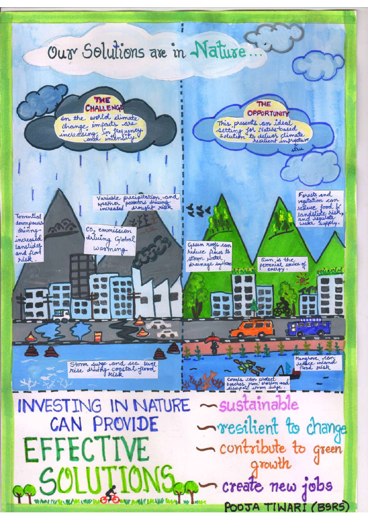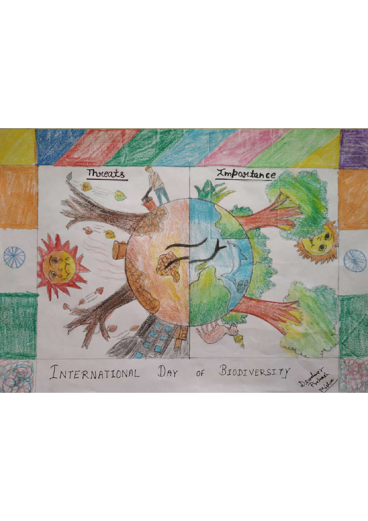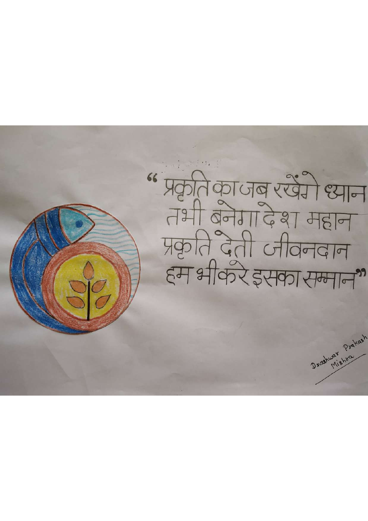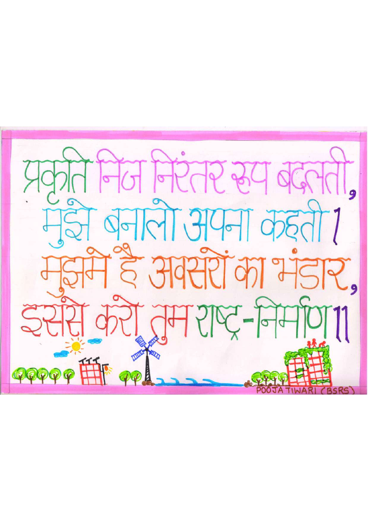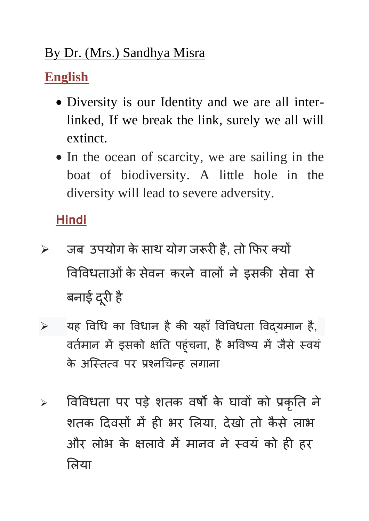## By Dr. (Mrs.) Sandhya Misra

# **English**

- Diversity is our Identity and we are all interlinked, If we break the link, surely we all will extinct.
- In the ocean of scarcity, we are sailing in the boat of biodiversity. A little hole in the diversity will lead to severe adversity.

## **Hindi**

- $\triangleright$  जब उपयोग के साथ योग जरूरी है, तो फिर क्यों विविधताओं के सेवन करने वालों ने इसकी सेवा से बनाई दूरी
- $>$  यह विधि का विधान है की यहाँ विविधता विद्यमान है, वर्तमान में इसको क्षति पहुचना, है भविष्य में जैर के अस्तित्व पर प्रश्नचिन्ह लगाना
- ≻ विविधता पर पड़े शतक वर्षों के घावों को प्रकृ शतक दिवसों में ही भर लिया, देखो तो कैसे लाभ और लोभ के क्षलावे में मानव ने स्वयं को ही हर लिया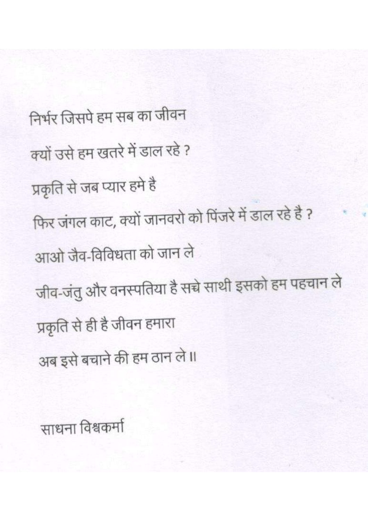निर्भर जिसपे हम सब का जीवन क्यों उसे हम खतरे में डाल रहे? प्रकृति से जब प्यार हमे है फिर जंगल काट, क्यों जानवरो को पिंजरे में डाल रहे है ? आओ जैव-विविधता को जान ले जीव-जंतु और वनस्पतिया है सच्चे साथी इसको हम पहचान ले प्रकृति से ही है जीवन हमारा अब इसे बचाने की हम ठान ले।।

साधना विश्वकर्मा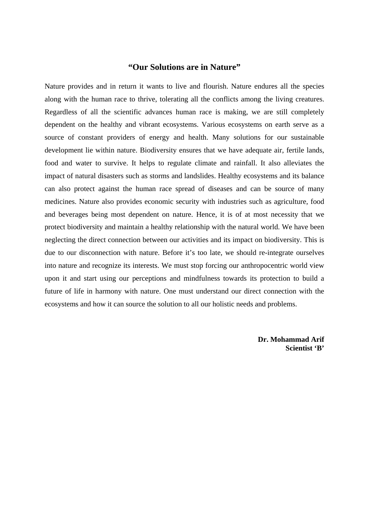#### **"Our Solutions are in Nature"**

Nature provides and in return it wants to live and flourish. Nature endures all the species along with the human race to thrive, tolerating all the conflicts among the living creatures. Regardless of all the scientific advances human race is making, we are still completely dependent on the healthy and vibrant ecosystems. Various ecosystems on earth serve as a source of constant providers of energy and health. Many solutions for our sustainable development lie within nature. Biodiversity ensures that we have adequate air, fertile lands, food and water to survive. It helps to regulate climate and rainfall. It also alleviates the impact of natural disasters such as storms and landslides. Healthy ecosystems and its balance can also protect against the human race spread of diseases and can be source of many medicines. Nature also provides economic security with industries such as agriculture, food and beverages being most dependent on nature. Hence, it is of at most necessity that we protect biodiversity and maintain a healthy relationship with the natural world. We have been neglecting the direct connection between our activities and its impact on biodiversity. This is due to our disconnection with nature. Before it's too late, we should re-integrate ourselves into nature and recognize its interests. We must stop forcing our anthropocentric world view upon it and start using our perceptions and mindfulness towards its protection to build a future of life in harmony with nature. One must understand our direct connection with the ecosystems and how it can source the solution to all our holistic needs and problems.

> **Dr. Mohammad Arif Scientist 'B'**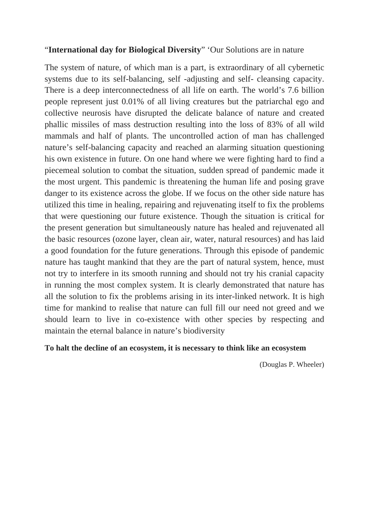### "**International day for Biological Diversity**" 'Our Solutions are in nature

The system of nature, of which man is a part, is extraordinary of all cybernetic systems due to its self-balancing, self -adjusting and self- cleansing capacity. There is a deep interconnectedness of all life on earth. The world's 7.6 billion people represent just 0.01% of all living creatures but the patriarchal ego and collective neurosis have disrupted the delicate balance of nature and created phallic missiles of mass destruction resulting into the loss of 83% of all wild mammals and half of plants. The uncontrolled action of man has challenged nature's self-balancing capacity and reached an alarming situation questioning his own existence in future. On one hand where we were fighting hard to find a piecemeal solution to combat the situation, sudden spread of pandemic made it the most urgent. This pandemic is threatening the human life and posing grave danger to its existence across the globe. If we focus on the other side nature has utilized this time in healing, repairing and rejuvenating itself to fix the problems that were questioning our future existence. Though the situation is critical for the present generation but simultaneously nature has healed and rejuvenated all the basic resources (ozone layer, clean air, water, natural resources) and has laid a good foundation for the future generations. Through this episode of pandemic nature has taught mankind that they are the part of natural system, hence, must not try to interfere in its smooth running and should not try his cranial capacity in running the most complex system. It is clearly demonstrated that nature has all the solution to fix the problems arising in its inter-linked network. It is high time for mankind to realise that nature can full fill our need not greed and we should learn to live in co-existence with other species by respecting and maintain the eternal balance in nature's biodiversity

### **To halt the decline of an ecosystem, it is necessary to think like an ecosystem**

(Douglas P. Wheeler)